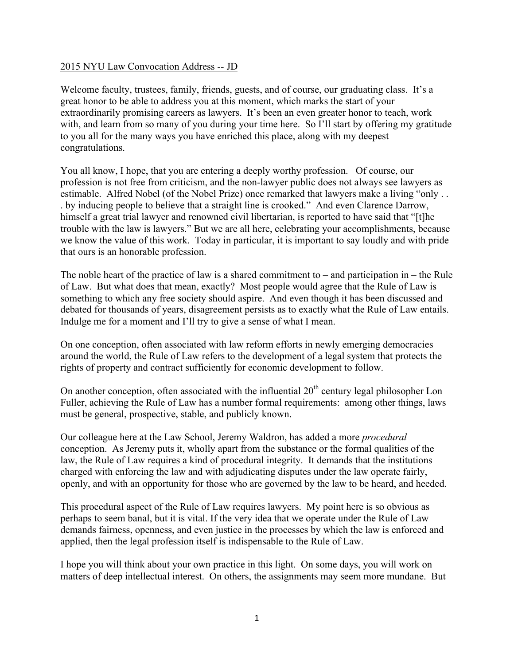## 2015 NYU Law Convocation Address -- JD

Welcome faculty, trustees, family, friends, guests, and of course, our graduating class. It's a great honor to be able to address you at this moment, which marks the start of your extraordinarily promising careers as lawyers. It's been an even greater honor to teach, work with, and learn from so many of you during your time here. So I'll start by offering my gratitude to you all for the many ways you have enriched this place, along with my deepest congratulations.

You all know, I hope, that you are entering a deeply worthy profession. Of course, our profession is not free from criticism, and the non-lawyer public does not always see lawyers as estimable. Alfred Nobel (of the Nobel Prize) once remarked that lawyers make a living "only . . . by inducing people to believe that a straight line is crooked." And even Clarence Darrow, himself a great trial lawyer and renowned civil libertarian, is reported to have said that "[t]he trouble with the law is lawyers." But we are all here, celebrating your accomplishments, because we know the value of this work. Today in particular, it is important to say loudly and with pride that ours is an honorable profession.

The noble heart of the practice of law is a shared commitment to – and participation in – the Rule of Law. But what does that mean, exactly? Most people would agree that the Rule of Law is something to which any free society should aspire. And even though it has been discussed and debated for thousands of years, disagreement persists as to exactly what the Rule of Law entails. Indulge me for a moment and I'll try to give a sense of what I mean.

On one conception, often associated with law reform efforts in newly emerging democracies around the world, the Rule of Law refers to the development of a legal system that protects the rights of property and contract sufficiently for economic development to follow.

On another conception, often associated with the influential  $20<sup>th</sup>$  century legal philosopher Lon Fuller, achieving the Rule of Law has a number formal requirements: among other things, laws must be general, prospective, stable, and publicly known.

Our colleague here at the Law School, Jeremy Waldron, has added a more *procedural* conception. As Jeremy puts it, wholly apart from the substance or the formal qualities of the law, the Rule of Law requires a kind of procedural integrity. It demands that the institutions charged with enforcing the law and with adjudicating disputes under the law operate fairly, openly, and with an opportunity for those who are governed by the law to be heard, and heeded.

This procedural aspect of the Rule of Law requires lawyers. My point here is so obvious as perhaps to seem banal, but it is vital. If the very idea that we operate under the Rule of Law demands fairness, openness, and even justice in the processes by which the law is enforced and applied, then the legal profession itself is indispensable to the Rule of Law.

I hope you will think about your own practice in this light. On some days, you will work on matters of deep intellectual interest. On others, the assignments may seem more mundane. But